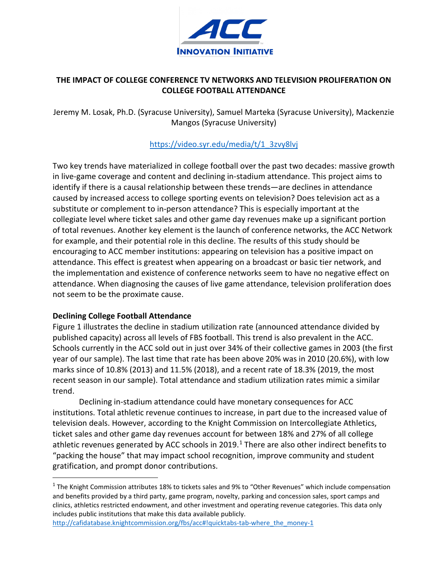

# **THE IMPACT OF COLLEGE CONFERENCE TV NETWORKS AND TELEVISION PROLIFERATION ON COLLEGE FOOTBALL ATTENDANCE**

Jeremy M. Losak, Ph.D. (Syracuse University), Samuel Marteka (Syracuse University), Mackenzie Mangos (Syracuse University)

## https://video.syr.edu/media/t/1\_3zvy8lvj

Two key trends have materialized in college football over the past two decades: massive growth in live-game coverage and content and declining in-stadium attendance. This project aims to identify if there is a causal relationship between these trends—are declines in attendance caused by increased access to college sporting events on television? Does television act as a substitute or complement to in-person attendance? This is especially important at the collegiate level where ticket sales and other game day revenues make up a significant portion of total revenues. Another key element is the launch of conference networks, the ACC Network for example, and their potential role in this decline. The results of this study should be encouraging to ACC member institutions: appearing on television has a positive impact on attendance. This effect is greatest when appearing on a broadcast or basic tier network, and the implementation and existence of conference networks seem to have no negative effect on attendance. When diagnosing the causes of live game attendance, television proliferation does not seem to be the proximate cause.

## **Declining College Football Attendance**

Figure 1 illustrates the decline in stadium utilization rate (announced attendance divided by published capacity) across all levels of FBS football. This trend is also prevalent in the ACC. Schools currently in the ACC sold out in just over 34% of their collective games in 2003 (the first year of our sample). The last time that rate has been above 20% was in 2010 (20.6%), with low marks since of 10.8% (2013) and 11.5% (2018), and a recent rate of 18.3% (2019, the most recent season in our sample). Total attendance and stadium utilization rates mimic a similar trend.

Declining in-stadium attendance could have monetary consequences for ACC institutions. Total athletic revenue continues to increase, in part due to the increased value of television deals. However, according to the Knight Commission on Intercollegiate Athletics, ticket sales and other game day revenues account for between 18% and 27% of all college athletic revenues generated by ACC schools in 20[1](#page-0-0)9.<sup>1</sup> There are also other indirect benefits to "packing the house" that may impact school recognition, improve community and student gratification, and prompt donor contributions.

<span id="page-0-0"></span><sup>1</sup> The Knight Commission attributes 18% to tickets sales and 9% to "Other Revenues" which include compensation and benefits provided by a third party, game program, novelty, parking and concession sales, sport camps and clinics, athletics restricted endowment, and other investment and operating revenue categories. This data only includes public institutions that make this data available publicly.

http://cafidatabase.knightcommission.org/fbs/acc#!quicktabs-tab-where\_the\_money-1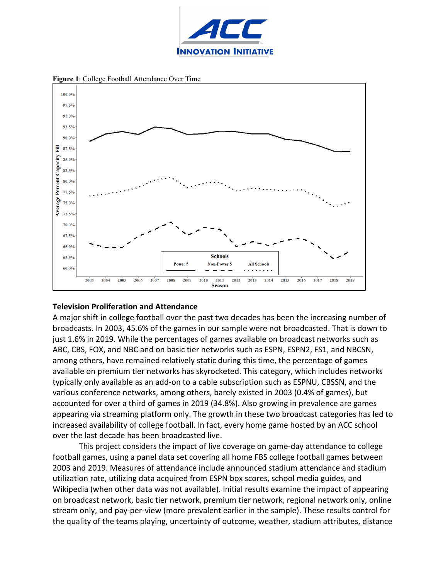

**Figure 1**: College Football Attendance Over Time



### **Television Proliferation and Attendance**

A major shift in college football over the past two decades has been the increasing number of broadcasts. In 2003, 45.6% of the games in our sample were not broadcasted. That is down to just 1.6% in 2019. While the percentages of games available on broadcast networks such as ABC, CBS, FOX, and NBC and on basic tier networks such as ESPN, ESPN2, FS1, and NBCSN, among others, have remained relatively static during this time, the percentage of games available on premium tier networks has skyrocketed. This category, which includes networks typically only available as an add-on to a cable subscription such as ESPNU, CBSSN, and the various conference networks, among others, barely existed in 2003 (0.4% of games), but accounted for over a third of games in 2019 (34.8%). Also growing in prevalence are games appearing via streaming platform only. The growth in these two broadcast categories has led to increased availability of college football. In fact, every home game hosted by an ACC school over the last decade has been broadcasted live.

This project considers the impact of live coverage on game-day attendance to college football games, using a panel data set covering all home FBS college football games between 2003 and 2019. Measures of attendance include announced stadium attendance and stadium utilization rate, utilizing data acquired from ESPN box scores, school media guides, and Wikipedia (when other data was not available). Initial results examine the impact of appearing on broadcast network, basic tier network, premium tier network, regional network only, online stream only, and pay-per-view (more prevalent earlier in the sample). These results control for the quality of the teams playing, uncertainty of outcome, weather, stadium attributes, distance